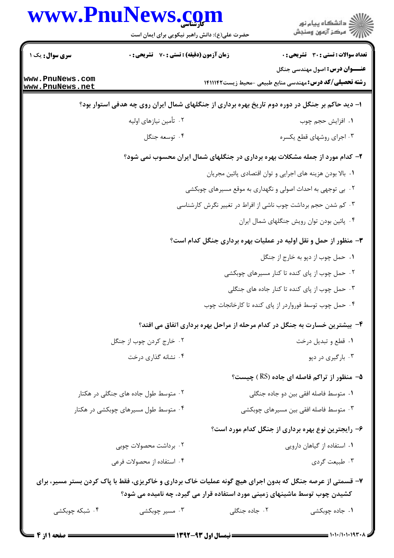|                                    |                                           | حضرت علی(ع): دانش راهبر نیکویی برای ایمان است | ≦ دانشڪاه پيام نور<br>√ مرڪز آزمون وسنڊش                                                                                                                                                |
|------------------------------------|-------------------------------------------|-----------------------------------------------|-----------------------------------------------------------------------------------------------------------------------------------------------------------------------------------------|
| <b>سری سوال :</b> یک ۱             | زمان آزمون (دقیقه) : تستی : 70 گشریحی : 0 |                                               | تعداد سوالات : تستي : 30 ٪ تشريحي : 0                                                                                                                                                   |
| www.PnuNews.com<br>www.PnuNews.net |                                           |                                               | <b>عنـــوان درس:</b> اصول مهندسی جنگل<br><b>رشته تحصیلی/کد درس: م</b> هندسی منابع طبیعی -محیط زیست۱۴۱۱۱۴۲                                                                               |
|                                    |                                           |                                               | ۱- دید حاکم بر جنگل در دوره دوم تاریخ بهره برداری از جنگلهای شمال ایران روی چه هدفی استوار بود؟                                                                                         |
|                                    | ۰۲ تأمين نيازهاى اوليه                    |                                               | ٠١. افزايش حجم چوب                                                                                                                                                                      |
|                                    | ۰۴ توسعه جنگل                             |                                               | ۰۳ اجرای روشهای قطع یکسره                                                                                                                                                               |
|                                    |                                           |                                               | ۲- کدام مورد از جمله مشکلات بهره برداری در جنگلهای شمال ایران محسوب نمی شود؟                                                                                                            |
|                                    |                                           |                                               | ٠١. بالا بودن هزينه هاي اجرايي و توان اقتصادي پائين مجريان                                                                                                                              |
|                                    |                                           |                                               | ۰۲ بی توجهی به احداث اصولی و نگهداری به موقع مسیرهای چوبکشی                                                                                                                             |
|                                    |                                           |                                               | ۰۳ کم شدن حجم برداشت چوب ناشی از افراط در تغییر نگرش کارشناسی                                                                                                                           |
|                                    |                                           |                                               | ۰۴ پائین بودن توان رویش جنگلهای شمال ایران                                                                                                                                              |
|                                    |                                           |                                               | ۳- منظور از حمل و نقل اولیه در عملیات بهره برداری جنگل کدام است؟                                                                                                                        |
|                                    |                                           |                                               | ۰۱ حمل چوب از دپو به خارج از جنگل                                                                                                                                                       |
|                                    |                                           |                                               | ۰۲ حمل چوب از پای کنده تا کنار مسیرهای چوبکشی                                                                                                                                           |
|                                    |                                           |                                               | ۰۳ حمل چوب از پای کنده تا کنار جاده های جنگلی                                                                                                                                           |
|                                    |                                           |                                               | ۰۴ حمل چوب توسط فورواردر از پای کنده تا کارخانجات چوب                                                                                                                                   |
|                                    |                                           |                                               | ۴- بیشترین خسارت به جنگل در کدام مرحله از مراحل بهره برداری اتفاق می افتد؟                                                                                                              |
|                                    | ۲. خارج کردن چوب از جنگل                  |                                               | ۰۱ قطع و تبديل درخت                                                                                                                                                                     |
|                                    | ۰۴ نشانه گذاری درخت                       |                                               | ۰۳ بارگیری در دپو                                                                                                                                                                       |
|                                    |                                           |                                               | ۵- منظور از تراکم فاصله ای جاده (RS) چیست؟                                                                                                                                              |
|                                    | ۰۲ متوسط طول جاده های جنگلی در هکتار      |                                               | ٠١ متوسط فاصله افقى بين دو جاده جنگلى                                                                                                                                                   |
|                                    | ۰۴ متوسط طول مسیرهای چوبکشی در هکتار      |                                               | ۰۳ متوسط فاصله افقی بین مسیرهای چوبکشی                                                                                                                                                  |
|                                    |                                           |                                               | ۶- رایجترین نوع بهره برداری از جنگل کدام مورد است؟                                                                                                                                      |
|                                    | ۰۲ برداشت محصولات چوبی                    |                                               | ۰۱ استفاده از گیاهان دارویی                                                                                                                                                             |
|                                    | ۰۴ استفاده از محصولات فرعی                |                                               | ۰۳ طبیعت گردي                                                                                                                                                                           |
|                                    |                                           |                                               | ۷– قسمتی از عرصه جنگل که بدون اجرای هیچ گونه عملیات خاک برداری و خاکریزی، فقط با پاک کردن بستر مسیر، برای<br>کشیدن چوب توسط ماشینهای زمینی مورد استفاده قرار می گیرد، چه نامیده می شود؟ |
| ۰۴ شبکه چوبکشی                     | ۰۳ مسیر چوبکشی                            | ۰۲ جاده جنگلی                                 | ۰۱ جاده چوبکشی                                                                                                                                                                          |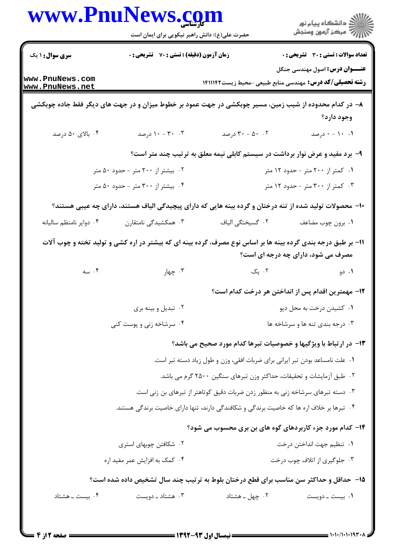|                                    | www.PnuNews.com                                                                                              |                                                                                 |                                                   |                                                      |  |
|------------------------------------|--------------------------------------------------------------------------------------------------------------|---------------------------------------------------------------------------------|---------------------------------------------------|------------------------------------------------------|--|
|                                    |                                                                                                              | حضرت علی(ع): دانش راهبر نیکویی برای ایمان است                                   |                                                   | ڪ دانشڪاه پيا <sub>م</sub> نور<br>۾ سرڪز آزمون وسنڊش |  |
| سری سوال: ۱ یک                     | زمان آزمون (دقیقه) : تستی : 70 گشریحی : 0                                                                    |                                                                                 |                                                   | <b>تعداد سوالات : تستی : 30 ٪ تشریحی : 0</b>         |  |
| www.PnuNews.com<br>www.PnuNews.net |                                                                                                              | <b>رشته تحصیلی/کد درس:</b> مهندسی منابع طبیعی -محیط زیست۱۴۱۱۱۴۲                 |                                                   | <b>عنـــوان درس:</b> اصول مهندسی جنگل                |  |
|                                    | ۸– در کدام محدوده از شیب زمین، مسیر چوبکشی در جهت عمود بر خطوط میزان و در جهت های دیگر فقط جاده چوبکشی       |                                                                                 |                                                   |                                                      |  |
|                                    |                                                                                                              |                                                                                 |                                                   | وجود دارد؟                                           |  |
| ۰۴ بالای ۵۰ درصد                   | ۰۳ - ۱۰ درصد                                                                                                 | ۰.۲ - ۳۰ درصد                                                                   |                                                   | ۰۹ - ۱۰ درصد                                         |  |
|                                    |                                                                                                              | ۹- برد مفید و عرض نوار برداشت در سیستم کابلی نیمه معلق به ترتیب چند متر است؟    |                                                   |                                                      |  |
|                                    | ۰۲ بیشتر از ۲۰۰ متر - حدود ۵۰ متر                                                                            | ۰۱ کمتر از ۲۰۰ متر - حدود ۱۲ متر                                                |                                                   |                                                      |  |
|                                    | ۰۴ بیشتر از ۳۰۰ متر - حدود ۵۰ متر                                                                            | ۰۳ کمتر از ۳۰۰ متر - حدود ۱۲ متر                                                |                                                   |                                                      |  |
|                                    | ∙۱- محصولات تولید شده از تنه درختان و گرده بینه هایی که دارای پیچیدگی الیاف هستند، دارای چه عیبی هستند؟      |                                                                                 |                                                   |                                                      |  |
| ۰۴ دواير نامنظم ساليانه            | ۰۳ همکشیدگی نامتقارن                                                                                         | ٢. گسيختگي الياف                                                                |                                                   | ٠١. برون چوب مضاعف                                   |  |
|                                    | ۱۱- بر طبق درجه بندی گرده بینه ها بر اساس نوع مصرف، گرده بینه ای که بیشتر در اره کشی و تولید تخته و چوب آلات |                                                                                 |                                                   |                                                      |  |
|                                    |                                                                                                              |                                                                                 | مصرف می شود، دارای چه درجه ای است؟                |                                                      |  |
| ۰۴ سه                              | ۰۳ چهار                                                                                                      |                                                                                 | ۰۲ یک                                             | ۰۱ دو                                                |  |
|                                    |                                                                                                              |                                                                                 | ۱۲– مهمترین اقدام پس از انداختن هر درخت کدام است؟ |                                                      |  |
|                                    | ۰۲ تبدیل و بینه بری                                                                                          |                                                                                 | ۰۱ کشیدن درخت به محل دپو                          |                                                      |  |
|                                    | ۰۴ سرشاخه زنی و پوست کنی                                                                                     |                                                                                 | ۰۳ درجه بندی تنه ها و سرشاخه ها                   |                                                      |  |
|                                    |                                                                                                              | ۱۳- در ارتباط با ویژگیها و خصوصیات تبرها کدام مورد صحیح می باشد؟                |                                                   |                                                      |  |
|                                    |                                                                                                              | ۰۱ علت نامساعد بودن تبر ایرانی برای ضربات افقی، وزن و طول زیاد دسته تبر است.    |                                                   |                                                      |  |
|                                    |                                                                                                              | ۰۲ طبق آزمایشات و تحقیقات، حداکثر وزن تبرهای سنگین ۲۵۰۰ گرم می باشد.            |                                                   |                                                      |  |
|                                    |                                                                                                              | ۰۳ دسته تبرهای سرشاخه زنی به منظور زدن ضربات دقیق کوتاهتر از تبرهای بن زنی است. |                                                   |                                                      |  |
|                                    | ۰۴ تبرها بر خلاف اره ها که خاصیت برندگی و شکافندگی دارند، تنها دارای خاصیت برندگی هستند.                     |                                                                                 |                                                   |                                                      |  |
|                                    |                                                                                                              | ۱۴- کدام مورد جزء کاربردهای گوه های بن بری محسوب می شود؟                        |                                                   |                                                      |  |
|                                    | ۰۲ شکافتن چوبهای استری                                                                                       |                                                                                 | ۰۱ تنظیم جهت انداختن درخت                         |                                                      |  |
|                                    | ۰۴ کمک به افزایش عمر مفید اره                                                                                |                                                                                 | ۰۳ جلوگیری از اتلاف چوب درخت                      |                                                      |  |
|                                    | ۱۵– حداقل و حداکثر سن مناسب برای قطع درختان بلوط به ترتیب چند سال تشخیص داده شده است؟                        |                                                                                 |                                                   |                                                      |  |
| ۰۴ بیست ــ هشتاد                   | ۰۳ هشتاد ــ دويست                                                                                            | ۰۲ چهل ــ هشتاد                                                                 |                                                   | ۰۱ بیست ــ دویست                                     |  |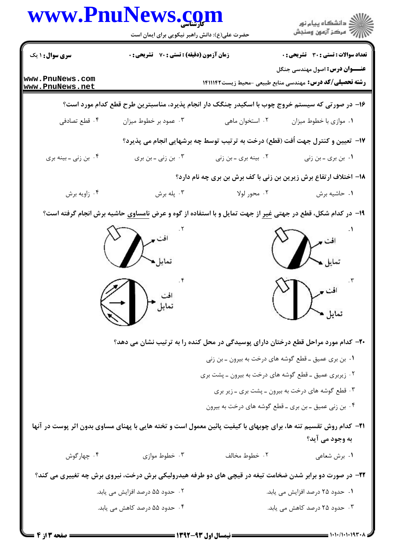